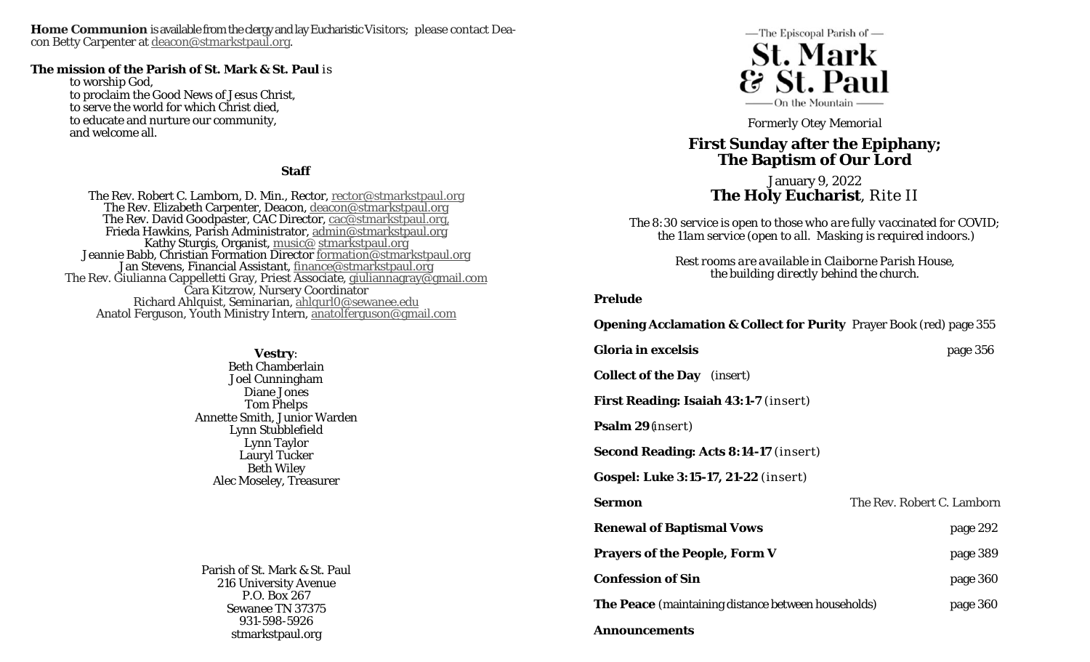**Home Communion** is available from the clergy and lay Eucharistic Visitors; please contact Deacon Betty Carpenter at deacon@stmarkstpaul.org.

#### **The mission of the Parish of St. Mark & St. Paul** is

to worship God, to proclaim the Good News of Jesus Christ, to serve the world for which Christ died, to educate and nurture our community, and welcome all.

#### **Staff**

The Rev. Robert C. Lamborn, D. Min., Rector, <u>rector@stmarkstpaul.org</u><br>The Rev. Elizabeth Carpenter, Deacon, <u>deacon@stmarkstpaul.org</u><br>The Rev. David Goodpaster, CAC Director, <u>cac@stmarkstpaul.org</u><br>Frieda Hawkins, Parish Richard Ahlquist, Seminarian, ahlqurl0@sewanee.edu Anatol Ferguson, Youth Ministry Intern, anatolferguson@gmail.com

> **Vestry**: Beth Chamberlain Joel Cunningham Diane Jones Tom Phelps Annette Smith, Junior Warden Lynn Stubblefield Lynn Taylor Lauryl Tucker Beth Wiley Alec Moseley, Treasurer

Parish of St. Mark & St. Paul 216 University Avenue P.O. Box 267 Sewanee TN 37375 931-598-5926 stmarkstpaul.org



*Formerly Otey Memorial* 

# **First Sunday after the Epiphany; The Baptism of Our Lord**

January 9, 2022 **The Holy Eucharist**, Rite II

*The 8:30 service is open to those who are fully vaccinated for COVID; the 11am service (open to all. Masking is required indoors.)* 

> *Rest rooms are available in Claiborne Parish House, the building directly behind the church.*

#### **Prelude**

| <b>Opening Acclamation &amp; Collect for Purity</b> Prayer Book (red) page 355 |  |  |  |
|--------------------------------------------------------------------------------|--|--|--|
|                                                                                |  |  |  |

| <b>Gloria in excelsis</b>                                  | page 356                   |
|------------------------------------------------------------|----------------------------|
| <b>Collect of the Day</b> <i>(insert)</i>                  |                            |
| <b>First Reading: Isaiah 43:1-7 (insert)</b>               |                            |
| <b>Psalm 29</b> ( <i>insert</i> )                          |                            |
| <b>Second Reading: Acts 8:14-17 (insert)</b>               |                            |
| <b>Gospel: Luke 3:15-17, 21-22</b> (insert)                |                            |
| <b>Sermon</b>                                              | The Rev. Robert C. Lamborn |
| <b>Renewal of Baptismal Vows</b>                           | page 292                   |
| <b>Prayers of the People, Form V</b>                       | page 389                   |
| <b>Confession of Sin</b>                                   | page 360                   |
| <b>The Peace</b> (maintaining distance between households) | page 360                   |
| Announcements                                              |                            |